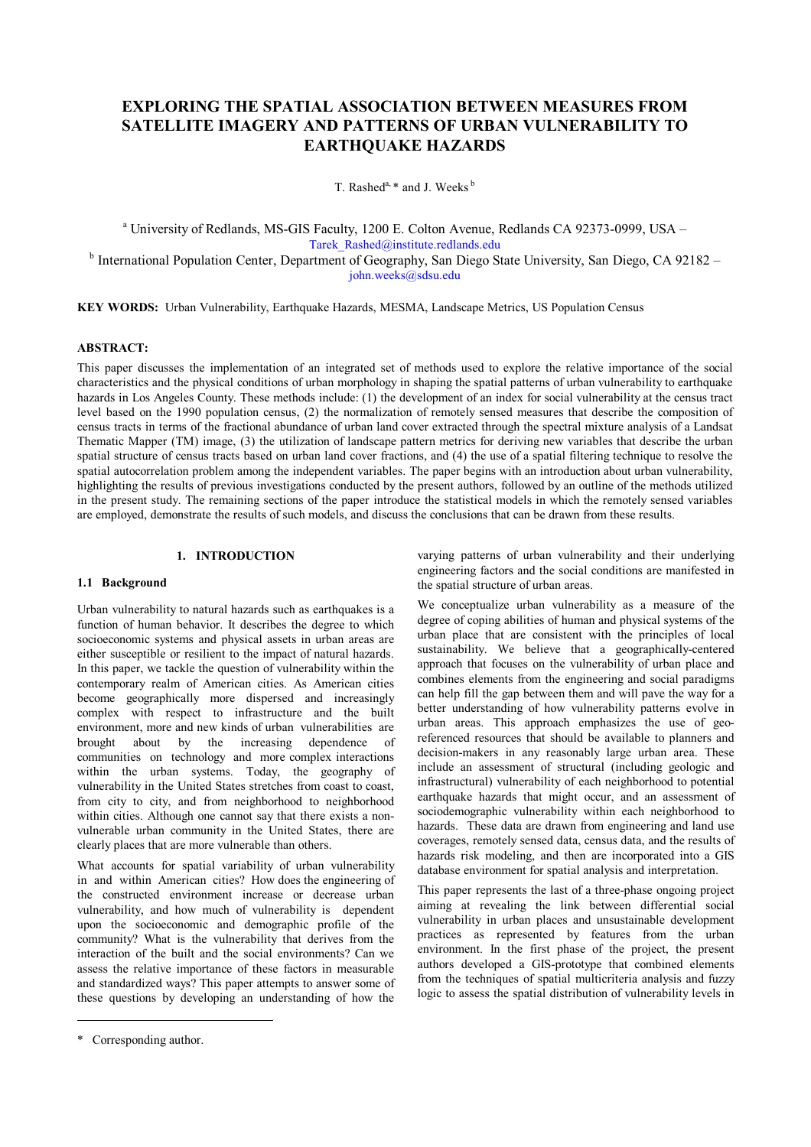# **EXPLORING THE SPATIAL ASSOCIATION BETWEEN MEASURES FROM SATELLITE IMAGERY AND PATTERNS OF URBAN VULNERABILITY TO EARTHQUAKE HAZARDS**

T. Rashed<sup>a,  $*$ </sup> and J. Weeks<sup>b</sup>

<sup>a</sup> University of Redlands, MS-GIS Faculty, 1200 E. Colton Avenue, Redlands CA 92373-0999, USA – Tarek\_Rashed@institute.redlands.edu <sup>b</sup> International Population Center, Department of Geography, San Diego State University, San Diego, CA 92182 –

john.weeks@sdsu.edu

**KEY WORDS:** Urban Vulnerability, Earthquake Hazards, MESMA, Landscape Metrics, US Population Census

## **ABSTRACT:**

This paper discusses the implementation of an integrated set of methods used to explore the relative importance of the social characteristics and the physical conditions of urban morphology in shaping the spatial patterns of urban vulnerability to earthquake hazards in Los Angeles County. These methods include: (1) the development of an index for social vulnerability at the census tract level based on the 1990 population census, (2) the normalization of remotely sensed measures that describe the composition of census tracts in terms of the fractional abundance of urban land cover extracted through the spectral mixture analysis of a Landsat Thematic Mapper (TM) image, (3) the utilization of landscape pattern metrics for deriving new variables that describe the urban spatial structure of census tracts based on urban land cover fractions, and (4) the use of a spatial filtering technique to resolve the spatial autocorrelation problem among the independent variables. The paper begins with an introduction about urban vulnerability, highlighting the results of previous investigations conducted by the present authors, followed by an outline of the methods utilized in the present study. The remaining sections of the paper introduce the statistical models in which the remotely sensed variables are employed, demonstrate the results of such models, and discuss the conclusions that can be drawn from these results.

# **1. INTRODUCTION**

## **1.1 Background**

Urban vulnerability to natural hazards such as earthquakes is a function of human behavior. It describes the degree to which socioeconomic systems and physical assets in urban areas are either susceptible or resilient to the impact of natural hazards. In this paper, we tackle the question of vulnerability within the contemporary realm of American cities. As American cities become geographically more dispersed and increasingly complex with respect to infrastructure and the built environment, more and new kinds of urban vulnerabilities are brought about by the increasing dependence of communities on technology and more complex interactions within the urban systems. Today, the geography of vulnerability in the United States stretches from coast to coast, from city to city, and from neighborhood to neighborhood within cities. Although one cannot say that there exists a nonvulnerable urban community in the United States, there are clearly places that are more vulnerable than others.

What accounts for spatial variability of urban vulnerability in and within American cities? How does the engineering of the constructed environment increase or decrease urban vulnerability, and how much of vulnerability is dependent upon the socioeconomic and demographic profile of the community? What is the vulnerability that derives from the interaction of the built and the social environments? Can we assess the relative importance of these factors in measurable and standardized ways? This paper attempts to answer some of these questions by developing an understanding of how the

We conceptualize urban vulnerability as a measure of the degree of coping abilities of human and physical systems of the urban place that are consistent with the principles of local sustainability. We believe that a geographically-centered approach that focuses on the vulnerability of urban place and combines elements from the engineering and social paradigms can help fill the gap between them and will pave the way for a better understanding of how vulnerability patterns evolve in urban areas. This approach emphasizes the use of georeferenced resources that should be available to planners and decision-makers in any reasonably large urban area. These include an assessment of structural (including geologic and infrastructural) vulnerability of each neighborhood to potential earthquake hazards that might occur, and an assessment of sociodemographic vulnerability within each neighborhood to hazards. These data are drawn from engineering and land use coverages, remotely sensed data, census data, and the results of hazards risk modeling, and then are incorporated into a GIS database environment for spatial analysis and interpretation.

This paper represents the last of a three-phase ongoing project aiming at revealing the link between differential social vulnerability in urban places and unsustainable development practices as represented by features from the urban environment. In the first phase of the project, the present authors developed a GIS-prototype that combined elements from the techniques of spatial multicriteria analysis and fuzzy logic to assess the spatial distribution of vulnerability levels in

varying patterns of urban vulnerability and their underlying engineering factors and the social conditions are manifested in the spatial structure of urban areas.

<sup>\*</sup> Corresponding author.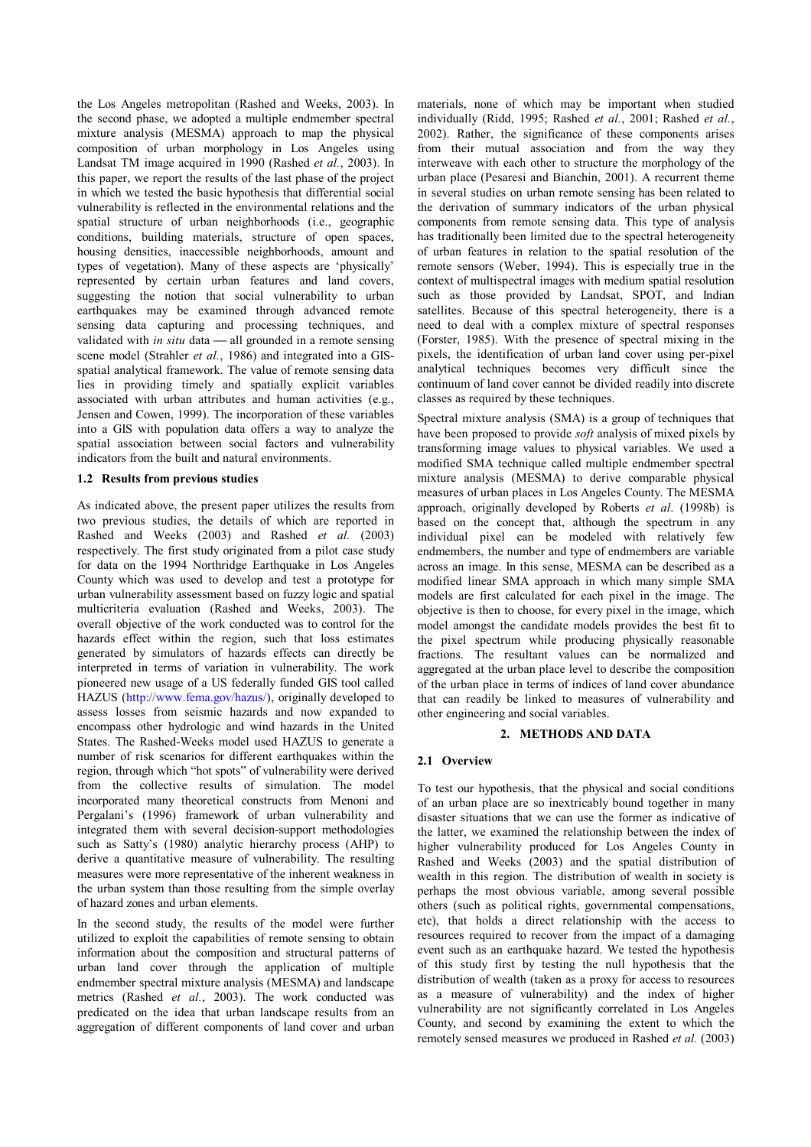the Los Angeles metropolitan (Rashed and Weeks, 2003). In the second phase, we adopted a multiple endmember spectral mixture analysis (MESMA) approach to map the physical composition of urban morphology in Los Angeles using Landsat TM image acquired in 1990 (Rashed *et al.*, 2003). In this paper, we report the results of the last phase of the project in which we tested the basic hypothesis that differential social vulnerability is reflected in the environmental relations and the spatial structure of urban neighborhoods (i.e., geographic conditions, building materials, structure of open spaces, housing densities, inaccessible neighborhoods, amount and types of vegetation). Many of these aspects are 'physically' represented by certain urban features and land covers, suggesting the notion that social vulnerability to urban earthquakes may be examined through advanced remote sensing data capturing and processing techniques, and validated with *in situ* data — all grounded in a remote sensing scene model (Strahler *et al.*, 1986) and integrated into a GISspatial analytical framework. The value of remote sensing data lies in providing timely and spatially explicit variables associated with urban attributes and human activities (e.g., Jensen and Cowen, 1999). The incorporation of these variables into a GIS with population data offers a way to analyze the spatial association between social factors and vulnerability indicators from the built and natural environments.

# **1.2 Results from previous studies**

As indicated above, the present paper utilizes the results from two previous studies, the details of which are reported in Rashed and Weeks (2003) and Rashed *et al.* (2003) respectively. The first study originated from a pilot case study for data on the 1994 Northridge Earthquake in Los Angeles County which was used to develop and test a prototype for urban vulnerability assessment based on fuzzy logic and spatial multicriteria evaluation (Rashed and Weeks, 2003). The overall objective of the work conducted was to control for the hazards effect within the region, such that loss estimates generated by simulators of hazards effects can directly be interpreted in terms of variation in vulnerability. The work pioneered new usage of a US federally funded GIS tool called HAZUS (http://www.fema.gov/hazus/), originally developed to assess losses from seismic hazards and now expanded to encompass other hydrologic and wind hazards in the United States. The Rashed-Weeks model used HAZUS to generate a number of risk scenarios for different earthquakes within the region, through which "hot spots" of vulnerability were derived from the collective results of simulation. The model incorporated many theoretical constructs from Menoni and Pergalani's (1996) framework of urban vulnerability and integrated them with several decision-support methodologies such as Satty's (1980) analytic hierarchy process (AHP) to derive a quantitative measure of vulnerability. The resulting measures were more representative of the inherent weakness in the urban system than those resulting from the simple overlay of hazard zones and urban elements.

In the second study, the results of the model were further utilized to exploit the capabilities of remote sensing to obtain information about the composition and structural patterns of urban land cover through the application of multiple endmember spectral mixture analysis (MESMA) and landscape metrics (Rashed *et al.*, 2003). The work conducted was predicated on the idea that urban landscape results from an aggregation of different components of land cover and urban

materials, none of which may be important when studied individually (Ridd, 1995; Rashed *et al.*, 2001; Rashed *et al.*, 2002). Rather, the significance of these components arises from their mutual association and from the way they interweave with each other to structure the morphology of the urban place (Pesaresi and Bianchin, 2001). A recurrent theme in several studies on urban remote sensing has been related to the derivation of summary indicators of the urban physical components from remote sensing data. This type of analysis has traditionally been limited due to the spectral heterogeneity of urban features in relation to the spatial resolution of the remote sensors (Weber, 1994). This is especially true in the context of multispectral images with medium spatial resolution such as those provided by Landsat, SPOT, and Indian satellites. Because of this spectral heterogeneity, there is a need to deal with a complex mixture of spectral responses (Forster, 1985). With the presence of spectral mixing in the pixels, the identification of urban land cover using per-pixel analytical techniques becomes very difficult since the continuum of land cover cannot be divided readily into discrete classes as required by these techniques.

Spectral mixture analysis (SMA) is a group of techniques that have been proposed to provide *soft* analysis of mixed pixels by transforming image values to physical variables. We used a modified SMA technique called multiple endmember spectral mixture analysis (MESMA) to derive comparable physical measures of urban places in Los Angeles County. The MESMA approach, originally developed by Roberts *et al*. (1998b) is based on the concept that, although the spectrum in any individual pixel can be modeled with relatively few endmembers, the number and type of endmembers are variable across an image. In this sense, MESMA can be described as a modified linear SMA approach in which many simple SMA models are first calculated for each pixel in the image. The objective is then to choose, for every pixel in the image, which model amongst the candidate models provides the best fit to the pixel spectrum while producing physically reasonable fractions. The resultant values can be normalized and aggregated at the urban place level to describe the composition of the urban place in terms of indices of land cover abundance that can readily be linked to measures of vulnerability and other engineering and social variables.

# **2. METHODS AND DATA**

# **2.1 Overview**

To test our hypothesis, that the physical and social conditions of an urban place are so inextricably bound together in many disaster situations that we can use the former as indicative of the latter, we examined the relationship between the index of higher vulnerability produced for Los Angeles County in Rashed and Weeks (2003) and the spatial distribution of wealth in this region. The distribution of wealth in society is perhaps the most obvious variable, among several possible others (such as political rights, governmental compensations, etc), that holds a direct relationship with the access to resources required to recover from the impact of a damaging event such as an earthquake hazard. We tested the hypothesis of this study first by testing the null hypothesis that the distribution of wealth (taken as a proxy for access to resources as a measure of vulnerability) and the index of higher vulnerability are not significantly correlated in Los Angeles County, and second by examining the extent to which the remotely sensed measures we produced in Rashed *et al.* (2003)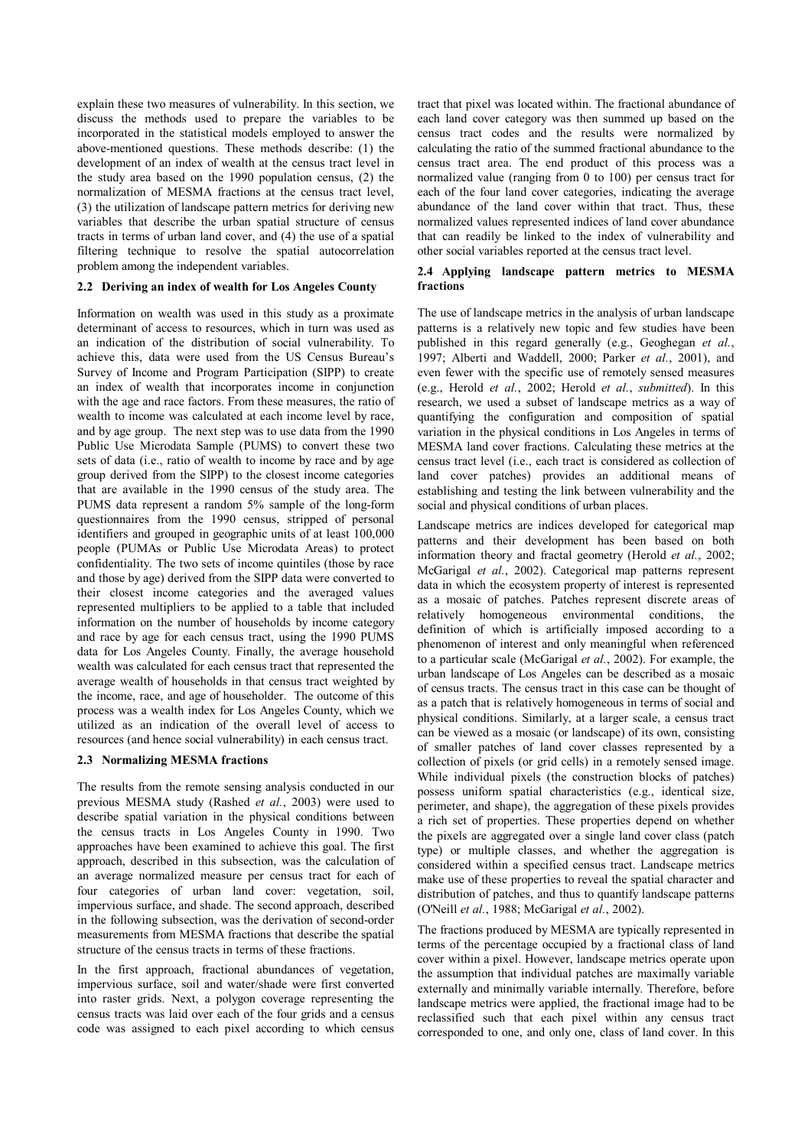explain these two measures of vulnerability. In this section, we discuss the methods used to prepare the variables to be incorporated in the statistical models employed to answer the above-mentioned questions. These methods describe: (1) the development of an index of wealth at the census tract level in the study area based on the 1990 population census, (2) the normalization of MESMA fractions at the census tract level, (3) the utilization of landscape pattern metrics for deriving new variables that describe the urban spatial structure of census tracts in terms of urban land cover, and (4) the use of a spatial filtering technique to resolve the spatial autocorrelation problem among the independent variables.

# **2.2 Deriving an index of wealth for Los Angeles County**

Information on wealth was used in this study as a proximate determinant of access to resources, which in turn was used as an indication of the distribution of social vulnerability. To achieve this, data were used from the US Census Bureau's Survey of Income and Program Participation (SIPP) to create an index of wealth that incorporates income in conjunction with the age and race factors. From these measures, the ratio of wealth to income was calculated at each income level by race, and by age group. The next step was to use data from the 1990 Public Use Microdata Sample (PUMS) to convert these two sets of data (i.e., ratio of wealth to income by race and by age group derived from the SIPP) to the closest income categories that are available in the 1990 census of the study area. The PUMS data represent a random 5% sample of the long-form questionnaires from the 1990 census, stripped of personal identifiers and grouped in geographic units of at least 100,000 people (PUMAs or Public Use Microdata Areas) to protect confidentiality. The two sets of income quintiles (those by race and those by age) derived from the SIPP data were converted to their closest income categories and the averaged values represented multipliers to be applied to a table that included information on the number of households by income category and race by age for each census tract, using the 1990 PUMS data for Los Angeles County. Finally, the average household wealth was calculated for each census tract that represented the average wealth of households in that census tract weighted by the income, race, and age of householder. The outcome of this process was a wealth index for Los Angeles County, which we utilized as an indication of the overall level of access to resources (and hence social vulnerability) in each census tract.

#### **2.3 Normalizing MESMA fractions**

The results from the remote sensing analysis conducted in our previous MESMA study (Rashed *et al.*, 2003) were used to describe spatial variation in the physical conditions between the census tracts in Los Angeles County in 1990. Two approaches have been examined to achieve this goal. The first approach, described in this subsection, was the calculation of an average normalized measure per census tract for each of four categories of urban land cover: vegetation, soil, impervious surface, and shade. The second approach, described in the following subsection, was the derivation of second-order measurements from MESMA fractions that describe the spatial structure of the census tracts in terms of these fractions.

In the first approach, fractional abundances of vegetation, impervious surface, soil and water/shade were first converted into raster grids. Next, a polygon coverage representing the census tracts was laid over each of the four grids and a census code was assigned to each pixel according to which census tract that pixel was located within. The fractional abundance of each land cover category was then summed up based on the census tract codes and the results were normalized by calculating the ratio of the summed fractional abundance to the census tract area. The end product of this process was a normalized value (ranging from 0 to 100) per census tract for each of the four land cover categories, indicating the average abundance of the land cover within that tract. Thus, these normalized values represented indices of land cover abundance that can readily be linked to the index of vulnerability and other social variables reported at the census tract level.

## **2.4 Applying landscape pattern metrics to MESMA fractions**

The use of landscape metrics in the analysis of urban landscape patterns is a relatively new topic and few studies have been published in this regard generally (e.g., Geoghegan *et al.*, 1997; Alberti and Waddell, 2000; Parker *et al.*, 2001), and even fewer with the specific use of remotely sensed measures (e.g., Herold *et al.*, 2002; Herold *et al.*, *submitted*). In this research, we used a subset of landscape metrics as a way of quantifying the configuration and composition of spatial variation in the physical conditions in Los Angeles in terms of MESMA land cover fractions. Calculating these metrics at the census tract level (i.e., each tract is considered as collection of land cover patches) provides an additional means of establishing and testing the link between vulnerability and the social and physical conditions of urban places.

Landscape metrics are indices developed for categorical map patterns and their development has been based on both information theory and fractal geometry (Herold *et al.*, 2002; McGarigal *et al.*, 2002). Categorical map patterns represent data in which the ecosystem property of interest is represented as a mosaic of patches. Patches represent discrete areas of relatively homogeneous environmental conditions, the definition of which is artificially imposed according to a phenomenon of interest and only meaningful when referenced to a particular scale (McGarigal *et al.*, 2002). For example, the urban landscape of Los Angeles can be described as a mosaic of census tracts. The census tract in this case can be thought of as a patch that is relatively homogeneous in terms of social and physical conditions. Similarly, at a larger scale, a census tract can be viewed as a mosaic (or landscape) of its own, consisting of smaller patches of land cover classes represented by a collection of pixels (or grid cells) in a remotely sensed image. While individual pixels (the construction blocks of patches) possess uniform spatial characteristics (e.g., identical size, perimeter, and shape), the aggregation of these pixels provides a rich set of properties. These properties depend on whether the pixels are aggregated over a single land cover class (patch type) or multiple classes, and whether the aggregation is considered within a specified census tract. Landscape metrics make use of these properties to reveal the spatial character and distribution of patches, and thus to quantify landscape patterns (O'Neill *et al.*, 1988; McGarigal *et al.*, 2002).

The fractions produced by MESMA are typically represented in terms of the percentage occupied by a fractional class of land cover within a pixel. However, landscape metrics operate upon the assumption that individual patches are maximally variable externally and minimally variable internally. Therefore, before landscape metrics were applied, the fractional image had to be reclassified such that each pixel within any census tract corresponded to one, and only one, class of land cover. In this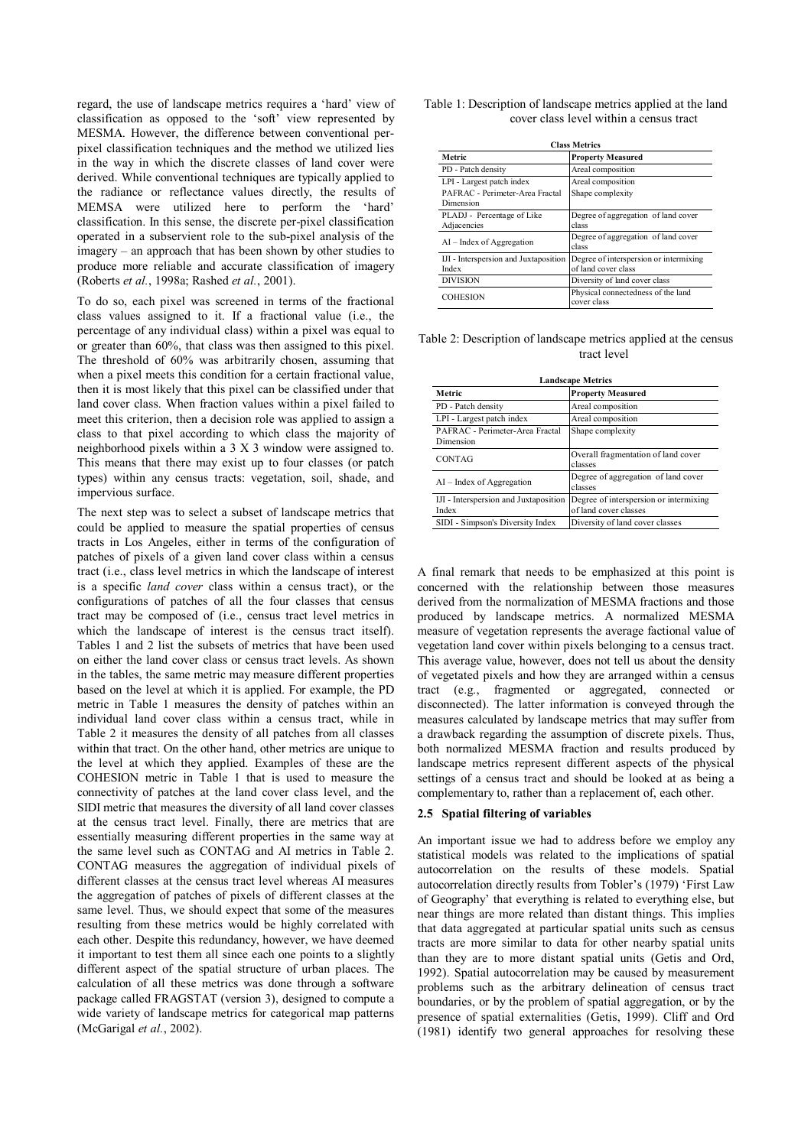regard, the use of landscape metrics requires a 'hard' view of classification as opposed to the 'soft' view represented by MESMA. However, the difference between conventional perpixel classification techniques and the method we utilized lies in the way in which the discrete classes of land cover were derived. While conventional techniques are typically applied to the radiance or reflectance values directly, the results of MEMSA were utilized here to perform the 'hard' classification. In this sense, the discrete per-pixel classification operated in a subservient role to the sub-pixel analysis of the imagery – an approach that has been shown by other studies to produce more reliable and accurate classification of imagery (Roberts *et al.*, 1998a; Rashed *et al.*, 2001).

To do so, each pixel was screened in terms of the fractional class values assigned to it. If a fractional value (i.e., the percentage of any individual class) within a pixel was equal to or greater than 60%, that class was then assigned to this pixel. The threshold of 60% was arbitrarily chosen, assuming that when a pixel meets this condition for a certain fractional value, then it is most likely that this pixel can be classified under that land cover class. When fraction values within a pixel failed to meet this criterion, then a decision role was applied to assign a class to that pixel according to which class the majority of neighborhood pixels within a 3 X 3 window were assigned to. This means that there may exist up to four classes (or patch types) within any census tracts: vegetation, soil, shade, and impervious surface.

The next step was to select a subset of landscape metrics that could be applied to measure the spatial properties of census tracts in Los Angeles, either in terms of the configuration of patches of pixels of a given land cover class within a census tract (i.e., class level metrics in which the landscape of interest is a specific *land cover* class within a census tract), or the configurations of patches of all the four classes that census tract may be composed of (i.e., census tract level metrics in which the landscape of interest is the census tract itself). Tables 1 and 2 list the subsets of metrics that have been used on either the land cover class or census tract levels. As shown in the tables, the same metric may measure different properties based on the level at which it is applied. For example, the PD metric in Table 1 measures the density of patches within an individual land cover class within a census tract, while in Table 2 it measures the density of all patches from all classes within that tract. On the other hand, other metrics are unique to the level at which they applied. Examples of these are the COHESION metric in Table 1 that is used to measure the connectivity of patches at the land cover class level, and the SIDI metric that measures the diversity of all land cover classes at the census tract level. Finally, there are metrics that are essentially measuring different properties in the same way at the same level such as CONTAG and AI metrics in Table 2. CONTAG measures the aggregation of individual pixels of different classes at the census tract level whereas AI measures the aggregation of patches of pixels of different classes at the same level. Thus, we should expect that some of the measures resulting from these metrics would be highly correlated with each other. Despite this redundancy, however, we have deemed it important to test them all since each one points to a slightly different aspect of the spatial structure of urban places. The calculation of all these metrics was done through a software package called FRAGSTAT (version 3), designed to compute a wide variety of landscape metrics for categorical map patterns (McGarigal *et al.*, 2002).

| Table 1: Description of landscape metrics applied at the land |                                         |
|---------------------------------------------------------------|-----------------------------------------|
|                                                               | cover class level within a census tract |

| <b>Class Metrics</b>                         |                                                   |  |  |
|----------------------------------------------|---------------------------------------------------|--|--|
| Metric                                       | <b>Property Measured</b>                          |  |  |
| PD - Patch density                           | Areal composition                                 |  |  |
| LPI - Largest patch index                    | Areal composition                                 |  |  |
| PAFRAC - Perimeter-Area Fractal<br>Dimension | Shape complexity                                  |  |  |
| PLADJ - Percentage of Like<br>Adjacencies    | Degree of aggregation of land cover<br>class      |  |  |
| $AI$ – Index of Aggregation                  | Degree of aggregation of land cover<br>class      |  |  |
| IJI - Interspersion and Juxtaposition        | Degree of interspersion or intermixing            |  |  |
| Index                                        | of land cover class                               |  |  |
| <b>DIVISION</b>                              | Diversity of land cover class                     |  |  |
| <b>COHESION</b>                              | Physical connectedness of the land<br>cover class |  |  |

Table 2: Description of landscape metrics applied at the census tract level

| <b>Landscape Metrics</b>                       |                                                                 |  |  |
|------------------------------------------------|-----------------------------------------------------------------|--|--|
| Metric                                         | <b>Property Measured</b>                                        |  |  |
| PD - Patch density                             | Areal composition                                               |  |  |
| LPI - Largest patch index                      | Areal composition                                               |  |  |
| PAFRAC - Perimeter-Area Fractal<br>Dimension   | Shape complexity                                                |  |  |
| <b>CONTAG</b>                                  | Overall fragmentation of land cover<br>classes                  |  |  |
| $AI$ – Index of Aggregation                    | Degree of aggregation of land cover<br>classes                  |  |  |
| IJI - Interspersion and Juxtaposition<br>Index | Degree of interspersion or intermixing<br>of land cover classes |  |  |
| SIDI - Simpson's Diversity Index               | Diversity of land cover classes                                 |  |  |

A final remark that needs to be emphasized at this point is concerned with the relationship between those measures derived from the normalization of MESMA fractions and those produced by landscape metrics. A normalized MESMA measure of vegetation represents the average factional value of vegetation land cover within pixels belonging to a census tract. This average value, however, does not tell us about the density of vegetated pixels and how they are arranged within a census tract (e.g., fragmented or aggregated, connected or disconnected). The latter information is conveyed through the measures calculated by landscape metrics that may suffer from a drawback regarding the assumption of discrete pixels. Thus, both normalized MESMA fraction and results produced by landscape metrics represent different aspects of the physical settings of a census tract and should be looked at as being a complementary to, rather than a replacement of, each other.

## **2.5 Spatial filtering of variables**

An important issue we had to address before we employ any statistical models was related to the implications of spatial autocorrelation on the results of these models. Spatial autocorrelation directly results from Tobler's (1979) 'First Law of Geography' that everything is related to everything else, but near things are more related than distant things. This implies that data aggregated at particular spatial units such as census tracts are more similar to data for other nearby spatial units than they are to more distant spatial units (Getis and Ord, 1992). Spatial autocorrelation may be caused by measurement problems such as the arbitrary delineation of census tract boundaries, or by the problem of spatial aggregation, or by the presence of spatial externalities (Getis, 1999). Cliff and Ord (1981) identify two general approaches for resolving these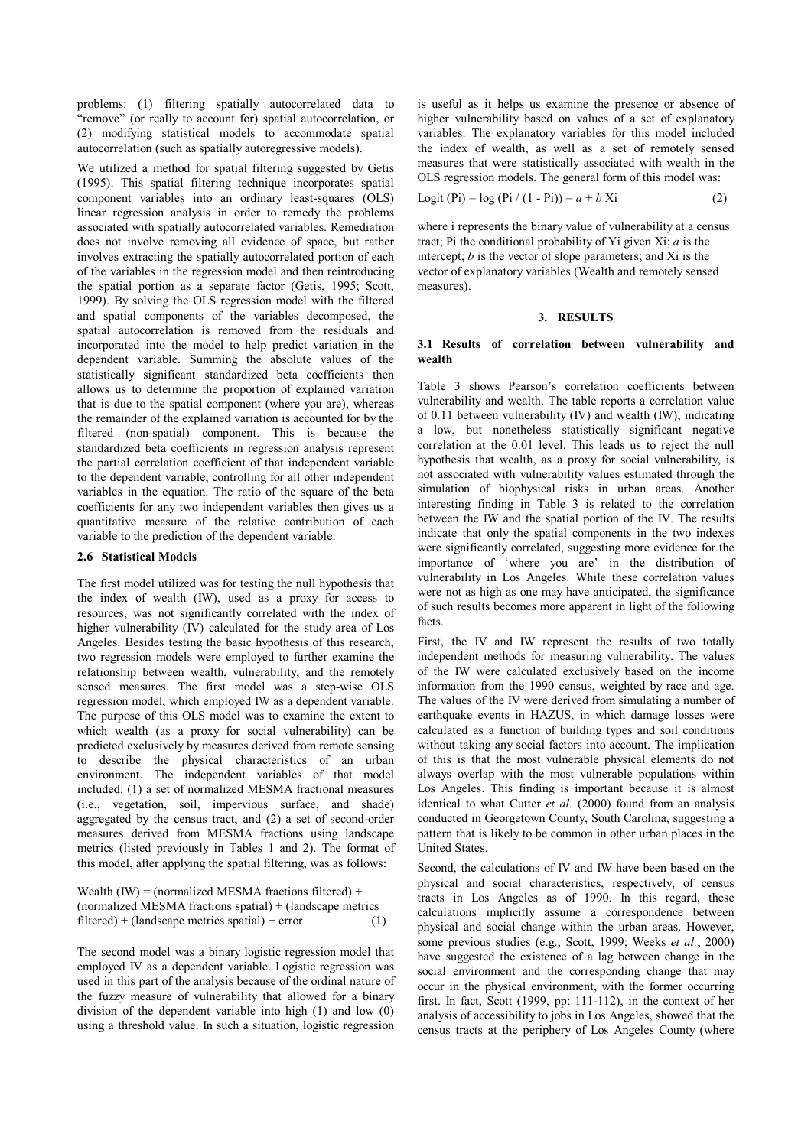problems: (1) filtering spatially autocorrelated data to "remove" (or really to account for) spatial autocorrelation, or (2) modifying statistical models to accommodate spatial autocorrelation (such as spatially autoregressive models).

We utilized a method for spatial filtering suggested by Getis (1995). This spatial filtering technique incorporates spatial component variables into an ordinary least-squares (OLS) linear regression analysis in order to remedy the problems associated with spatially autocorrelated variables. Remediation does not involve removing all evidence of space, but rather involves extracting the spatially autocorrelated portion of each of the variables in the regression model and then reintroducing the spatial portion as a separate factor (Getis, 1995; Scott, 1999). By solving the OLS regression model with the filtered and spatial components of the variables decomposed, the spatial autocorrelation is removed from the residuals and incorporated into the model to help predict variation in the dependent variable. Summing the absolute values of the statistically significant standardized beta coefficients then allows us to determine the proportion of explained variation that is due to the spatial component (where you are), whereas the remainder of the explained variation is accounted for by the filtered (non-spatial) component. This is because the standardized beta coefficients in regression analysis represent the partial correlation coefficient of that independent variable to the dependent variable, controlling for all other independent variables in the equation. The ratio of the square of the beta coefficients for any two independent variables then gives us a quantitative measure of the relative contribution of each variable to the prediction of the dependent variable.

## **2.6 Statistical Models**

The first model utilized was for testing the null hypothesis that the index of wealth (IW), used as a proxy for access to resources, was not significantly correlated with the index of higher vulnerability (IV) calculated for the study area of Los Angeles. Besides testing the basic hypothesis of this research, two regression models were employed to further examine the relationship between wealth, vulnerability, and the remotely sensed measures. The first model was a step-wise OLS regression model, which employed IW as a dependent variable. The purpose of this OLS model was to examine the extent to which wealth (as a proxy for social vulnerability) can be predicted exclusively by measures derived from remote sensing to describe the physical characteristics of an urban environment. The independent variables of that model included: (1) a set of normalized MESMA fractional measures (i.e., vegetation, soil, impervious surface, and shade) aggregated by the census tract, and (2) a set of second-order measures derived from MESMA fractions using landscape metrics (listed previously in Tables 1 and 2). The format of this model, after applying the spatial filtering, was as follows:

| Wealth $(IW) = (normalized MESMA fractions filtered) +$     |     |
|-------------------------------------------------------------|-----|
| (normalized MESMA fractions spatial) $+$ (landscape metrics |     |
| $filtered$ + (landscape metrics spatial) + error            | (1) |

The second model was a binary logistic regression model that employed IV as a dependent variable. Logistic regression was used in this part of the analysis because of the ordinal nature of the fuzzy measure of vulnerability that allowed for a binary division of the dependent variable into high (1) and low (0) using a threshold value. In such a situation, logistic regression

is useful as it helps us examine the presence or absence of higher vulnerability based on values of a set of explanatory variables. The explanatory variables for this model included the index of wealth, as well as a set of remotely sensed measures that were statistically associated with wealth in the OLS regression models. The general form of this model was:

$$
Logit (Pi) = log (Pi / (1 - Pi)) = a + b Xi
$$
 (2)

where i represents the binary value of vulnerability at a census tract; Pi the conditional probability of Yi given Xi; *a* is the intercept; *b* is the vector of slope parameters; and Xi is the vector of explanatory variables (Wealth and remotely sensed measures).

#### **3. RESULTS**

## **3.1 Results of correlation between vulnerability and wealth**

Table 3 shows Pearson's correlation coefficients between vulnerability and wealth. The table reports a correlation value of 0.11 between vulnerability (IV) and wealth (IW), indicating a low, but nonetheless statistically significant negative correlation at the 0.01 level. This leads us to reject the null hypothesis that wealth, as a proxy for social vulnerability, is not associated with vulnerability values estimated through the simulation of biophysical risks in urban areas. Another interesting finding in Table 3 is related to the correlation between the IW and the spatial portion of the IV. The results indicate that only the spatial components in the two indexes were significantly correlated, suggesting more evidence for the importance of 'where you are' in the distribution of vulnerability in Los Angeles. While these correlation values were not as high as one may have anticipated, the significance of such results becomes more apparent in light of the following facts.

First, the IV and IW represent the results of two totally independent methods for measuring vulnerability. The values of the IW were calculated exclusively based on the income information from the 1990 census, weighted by race and age. The values of the IV were derived from simulating a number of earthquake events in HAZUS, in which damage losses were calculated as a function of building types and soil conditions without taking any social factors into account. The implication of this is that the most vulnerable physical elements do not always overlap with the most vulnerable populations within Los Angeles. This finding is important because it is almost identical to what Cutter *et al.* (2000) found from an analysis conducted in Georgetown County, South Carolina, suggesting a pattern that is likely to be common in other urban places in the United States.

Second, the calculations of IV and IW have been based on the physical and social characteristics, respectively, of census tracts in Los Angeles as of 1990. In this regard, these calculations implicitly assume a correspondence between physical and social change within the urban areas. However, some previous studies (e.g., Scott, 1999; Weeks *et al.*, 2000) have suggested the existence of a lag between change in the social environment and the corresponding change that may occur in the physical environment, with the former occurring first. In fact, Scott (1999, pp: 111-112), in the context of her analysis of accessibility to jobs in Los Angeles, showed that the census tracts at the periphery of Los Angeles County (where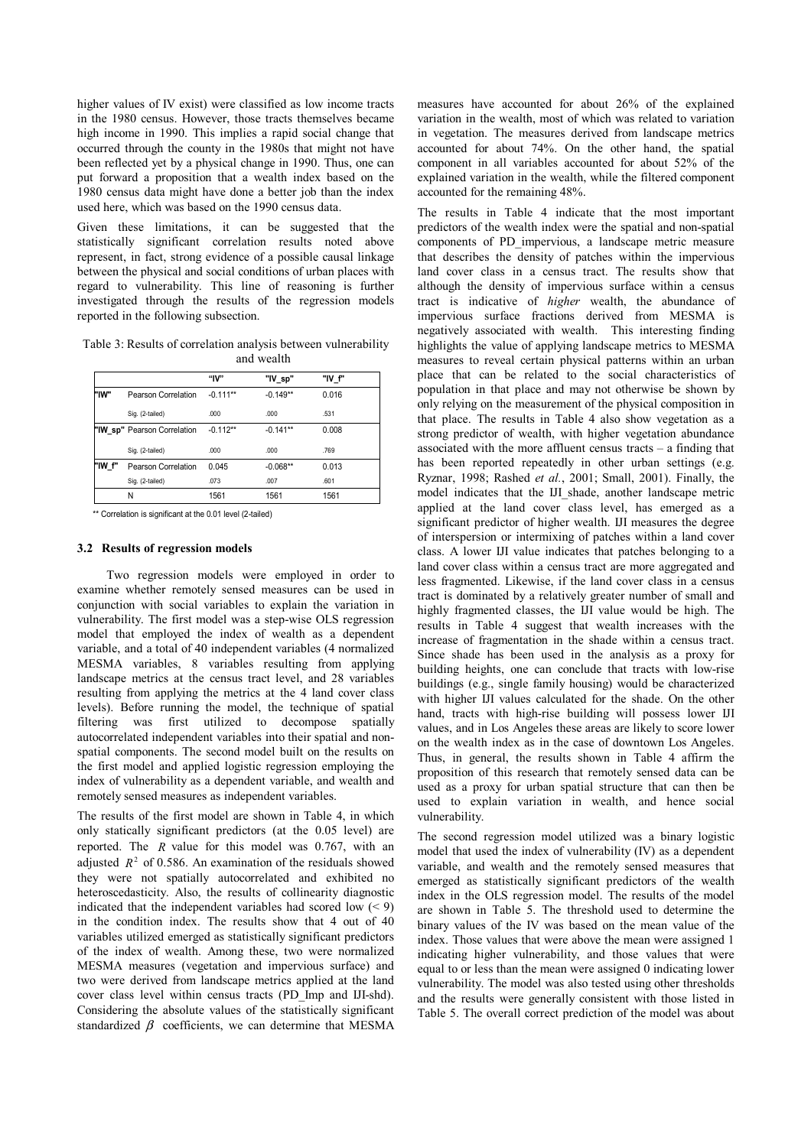higher values of IV exist) were classified as low income tracts in the 1980 census. However, those tracts themselves became high income in 1990. This implies a rapid social change that occurred through the county in the 1980s that might not have been reflected yet by a physical change in 1990. Thus, one can put forward a proposition that a wealth index based on the 1980 census data might have done a better job than the index used here, which was based on the 1990 census data.

Given these limitations, it can be suggested that the statistically significant correlation results noted above represent, in fact, strong evidence of a possible causal linkage between the physical and social conditions of urban places with regard to vulnerability. This line of reasoning is further investigated through the results of the regression models reported in the following subsection.

Table 3: Results of correlation analysis between vulnerability and wealth

|        |                             | "lV"       | "IV_sp"    | "IV f" |
|--------|-----------------------------|------------|------------|--------|
| "IW"   | Pearson Correlation         | $-0.111**$ | $-0.149**$ | 0.016  |
|        | Sig. (2-tailed)             | .000       | .000       | .531   |
|        | "IW sp" Pearson Correlation | $-0.112**$ | $-0.141**$ | 0.008  |
|        | Sig. (2-tailed)             | .000       | .000       | .769   |
| "IW f" | Pearson Correlation         | 0.045      | $-0.068**$ | 0.013  |
|        | Sig. (2-tailed)             | .073       | .007       | .601   |
|        | Ν                           | 1561       | 1561       | 1561   |

\*\* Correlation is significant at the 0.01 level (2-tailed)

#### **3.2 Results of regression models**

 Two regression models were employed in order to examine whether remotely sensed measures can be used in conjunction with social variables to explain the variation in vulnerability. The first model was a step-wise OLS regression model that employed the index of wealth as a dependent variable, and a total of 40 independent variables (4 normalized MESMA variables, 8 variables resulting from applying landscape metrics at the census tract level, and 28 variables resulting from applying the metrics at the 4 land cover class levels). Before running the model, the technique of spatial filtering was first utilized to decompose spatially autocorrelated independent variables into their spatial and nonspatial components. The second model built on the results on the first model and applied logistic regression employing the index of vulnerability as a dependent variable, and wealth and remotely sensed measures as independent variables.

The results of the first model are shown in Table 4, in which only statically significant predictors (at the 0.05 level) are reported. The *R* value for this model was 0.767, with an adjusted  $R^2$  of 0.586. An examination of the residuals showed they were not spatially autocorrelated and exhibited no heteroscedasticity. Also, the results of collinearity diagnostic indicated that the independent variables had scored low  $(< 9$ ) in the condition index. The results show that 4 out of 40 variables utilized emerged as statistically significant predictors of the index of wealth. Among these, two were normalized MESMA measures (vegetation and impervious surface) and two were derived from landscape metrics applied at the land cover class level within census tracts (PD\_Imp and IJI-shd). Considering the absolute values of the statistically significant standardized  $\beta$  coefficients, we can determine that MESMA

measures have accounted for about 26% of the explained variation in the wealth, most of which was related to variation in vegetation. The measures derived from landscape metrics accounted for about 74%. On the other hand, the spatial component in all variables accounted for about 52% of the explained variation in the wealth, while the filtered component accounted for the remaining 48%.

The results in Table 4 indicate that the most important predictors of the wealth index were the spatial and non-spatial components of PD\_impervious, a landscape metric measure that describes the density of patches within the impervious land cover class in a census tract. The results show that although the density of impervious surface within a census tract is indicative of *higher* wealth, the abundance of impervious surface fractions derived from MESMA is negatively associated with wealth. This interesting finding highlights the value of applying landscape metrics to MESMA measures to reveal certain physical patterns within an urban place that can be related to the social characteristics of population in that place and may not otherwise be shown by only relying on the measurement of the physical composition in that place. The results in Table 4 also show vegetation as a strong predictor of wealth, with higher vegetation abundance associated with the more affluent census tracts – a finding that has been reported repeatedly in other urban settings (e.g. Ryznar, 1998; Rashed *et al.*, 2001; Small, 2001). Finally, the model indicates that the IJI\_shade, another landscape metric applied at the land cover class level, has emerged as a significant predictor of higher wealth. IJI measures the degree of interspersion or intermixing of patches within a land cover class. A lower IJI value indicates that patches belonging to a land cover class within a census tract are more aggregated and less fragmented. Likewise, if the land cover class in a census tract is dominated by a relatively greater number of small and highly fragmented classes, the IJI value would be high. The results in Table 4 suggest that wealth increases with the increase of fragmentation in the shade within a census tract. Since shade has been used in the analysis as a proxy for building heights, one can conclude that tracts with low-rise buildings (e.g., single family housing) would be characterized with higher IJI values calculated for the shade. On the other hand, tracts with high-rise building will possess lower IJI values, and in Los Angeles these areas are likely to score lower on the wealth index as in the case of downtown Los Angeles. Thus, in general, the results shown in Table 4 affirm the proposition of this research that remotely sensed data can be used as a proxy for urban spatial structure that can then be used to explain variation in wealth, and hence social vulnerability.

The second regression model utilized was a binary logistic model that used the index of vulnerability (IV) as a dependent variable, and wealth and the remotely sensed measures that emerged as statistically significant predictors of the wealth index in the OLS regression model. The results of the model are shown in Table 5. The threshold used to determine the binary values of the IV was based on the mean value of the index. Those values that were above the mean were assigned 1 indicating higher vulnerability, and those values that were equal to or less than the mean were assigned 0 indicating lower vulnerability. The model was also tested using other thresholds and the results were generally consistent with those listed in Table 5. The overall correct prediction of the model was about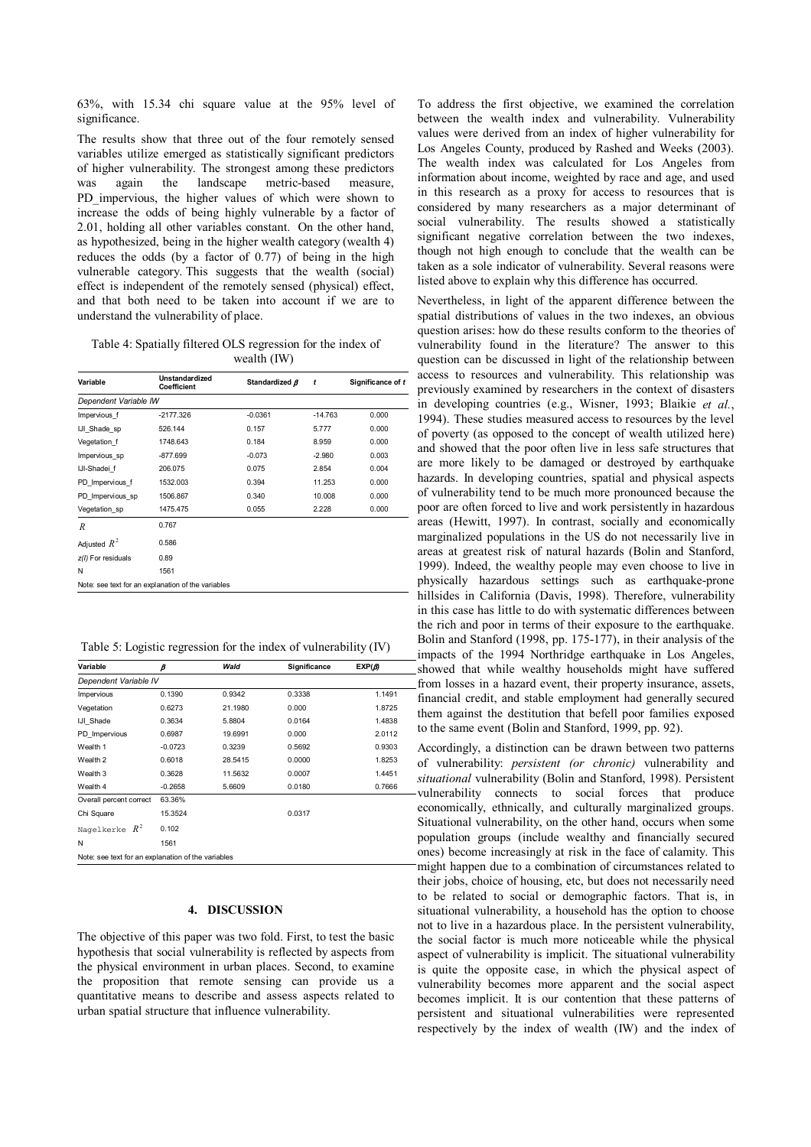63%, with 15.34 chi square value at the 95% level of significance.

The results show that three out of the four remotely sensed variables utilize emerged as statistically significant predictors of higher vulnerability. The strongest among these predictors was again the landscape metric-based measure, PD impervious, the higher values of which were shown to increase the odds of being highly vulnerable by a factor of 2.01, holding all other variables constant. On the other hand, as hypothesized, being in the higher wealth category (wealth 4) reduces the odds (by a factor of 0.77) of being in the high vulnerable category. This suggests that the wealth (social) effect is independent of the remotely sensed (physical) effect, and that both need to be taken into account if we are to understand the vulnerability of place.

Table 4: Spatially filtered OLS regression for the index of wealth (IW)

| Variable              | Unstandardized<br>Coefficient                      | Standardized B | t         | Significance of t |
|-----------------------|----------------------------------------------------|----------------|-----------|-------------------|
| Dependent Variable IW |                                                    |                |           |                   |
| Impervious f          | $-2177.326$                                        | $-0.0361$      | $-14.763$ | 0.000             |
| IJI Shade sp          | 526.144                                            | 0.157          | 5.777     | 0.000             |
| Vegetation f          | 1748.643                                           | 0.184          | 8.959     | 0.000             |
| Impervious sp         | $-877.699$                                         | $-0.073$       | $-2.980$  | 0.003             |
| IJI-Shadei f          | 206.075                                            | 0.075          | 2.854     | 0.004             |
| PD Impervious f       | 1532.003                                           | 0.394          | 11.253    | 0.000             |
| PD Impervious sp      | 1506.867                                           | 0.340          | 10.008    | 0.000             |
| Vegetation sp         | 1475.475                                           | 0.055          | 2.228     | 0.000             |
| $\boldsymbol{R}$      | 0.767                                              |                |           |                   |
| Adjusted $R^2$        | 0.586                                              |                |           |                   |
| z(I) For residuals    | 0.89                                               |                |           |                   |
| N                     | 1561                                               |                |           |                   |
|                       | Note: see text for an explanation of the variables |                |           |                   |

Table 5: Logistic regression for the index of vulnerability (IV)

| Variable                                           | ß         | Wald    | Significance | EXP(B) |
|----------------------------------------------------|-----------|---------|--------------|--------|
| Dependent Variable IV                              |           |         |              |        |
| Impervious                                         | 0.1390    | 0.9342  | 0.3338       | 1.1491 |
| Vegetation                                         | 0.6273    | 21.1980 | 0.000        | 1.8725 |
| IJI Shade                                          | 0.3634    | 5.8804  | 0.0164       | 1.4838 |
| PD Impervious                                      | 0.6987    | 19.6991 | 0.000        | 2.0112 |
| Wealth 1                                           | $-0.0723$ | 0.3239  | 0.5692       | 0.9303 |
| Wealth <sub>2</sub>                                | 0.6018    | 28.5415 | 0.0000       | 1.8253 |
| Wealth 3                                           | 0.3628    | 11.5632 | 0.0007       | 1.4451 |
| Wealth 4                                           | $-0.2658$ | 5.6609  | 0.0180       | 0.7666 |
| Overall percent correct                            | 63.36%    |         |              |        |
| Chi Square                                         | 15.3524   |         | 0.0317       |        |
| Nagelkerke $R^2$                                   | 0.102     |         |              |        |
| N                                                  | 1561      |         |              |        |
| Note: see text for an explanation of the variables |           |         |              |        |

# **4. DISCUSSION**

The objective of this paper was two fold. First, to test the basic hypothesis that social vulnerability is reflected by aspects from the physical environment in urban places. Second, to examine the proposition that remote sensing can provide us a quantitative means to describe and assess aspects related to urban spatial structure that influence vulnerability.

To address the first objective, we examined the correlation between the wealth index and vulnerability. Vulnerability values were derived from an index of higher vulnerability for Los Angeles County, produced by Rashed and Weeks (2003). The wealth index was calculated for Los Angeles from information about income, weighted by race and age, and used in this research as a proxy for access to resources that is considered by many researchers as a major determinant of social vulnerability. The results showed a statistically significant negative correlation between the two indexes, though not high enough to conclude that the wealth can be taken as a sole indicator of vulnerability. Several reasons were listed above to explain why this difference has occurred.

financial credit, and stable employment had generally secured them against the destitution that befell poor families exposed to the same event (Bolin and Stanford, 1999, pp. 92). Nevertheless, in light of the apparent difference between the spatial distributions of values in the two indexes, an obvious question arises: how do these results conform to the theories of vulnerability found in the literature? The answer to this question can be discussed in light of the relationship between access to resources and vulnerability. This relationship was previously examined by researchers in the context of disasters in developing countries (e.g., Wisner, 1993; Blaikie *et al.*, 1994). These studies measured access to resources by the level of poverty (as opposed to the concept of wealth utilized here) and showed that the poor often live in less safe structures that are more likely to be damaged or destroyed by earthquake hazards. In developing countries, spatial and physical aspects of vulnerability tend to be much more pronounced because the poor are often forced to live and work persistently in hazardous areas (Hewitt, 1997). In contrast, socially and economically marginalized populations in the US do not necessarily live in areas at greatest risk of natural hazards (Bolin and Stanford, 1999). Indeed, the wealthy people may even choose to live in physically hazardous settings such as earthquake-prone hillsides in California (Davis, 1998). Therefore, vulnerability in this case has little to do with systematic differences between the rich and poor in terms of their exposure to the earthquake. Bolin and Stanford (1998, pp. 175-177), in their analysis of the impacts of the 1994 Northridge earthquake in Los Angeles, showed that while wealthy households might have suffered from losses in a hazard event, their property insurance, assets,

Accordingly, a distinction can be drawn between two patterns of vulnerability: *persistent (or chronic)* vulnerability and *situational* vulnerability (Bolin and Stanford, 1998). Persistent vulnerability connects to social forces that produce economically, ethnically, and culturally marginalized groups. Situational vulnerability, on the other hand, occurs when some population groups (include wealthy and financially secured ones) become increasingly at risk in the face of calamity. This might happen due to a combination of circumstances related to their jobs, choice of housing, etc, but does not necessarily need to be related to social or demographic factors. That is, in situational vulnerability, a household has the option to choose not to live in a hazardous place. In the persistent vulnerability, the social factor is much more noticeable while the physical aspect of vulnerability is implicit. The situational vulnerability is quite the opposite case, in which the physical aspect of vulnerability becomes more apparent and the social aspect becomes implicit. It is our contention that these patterns of persistent and situational vulnerabilities were represented respectively by the index of wealth (IW) and the index of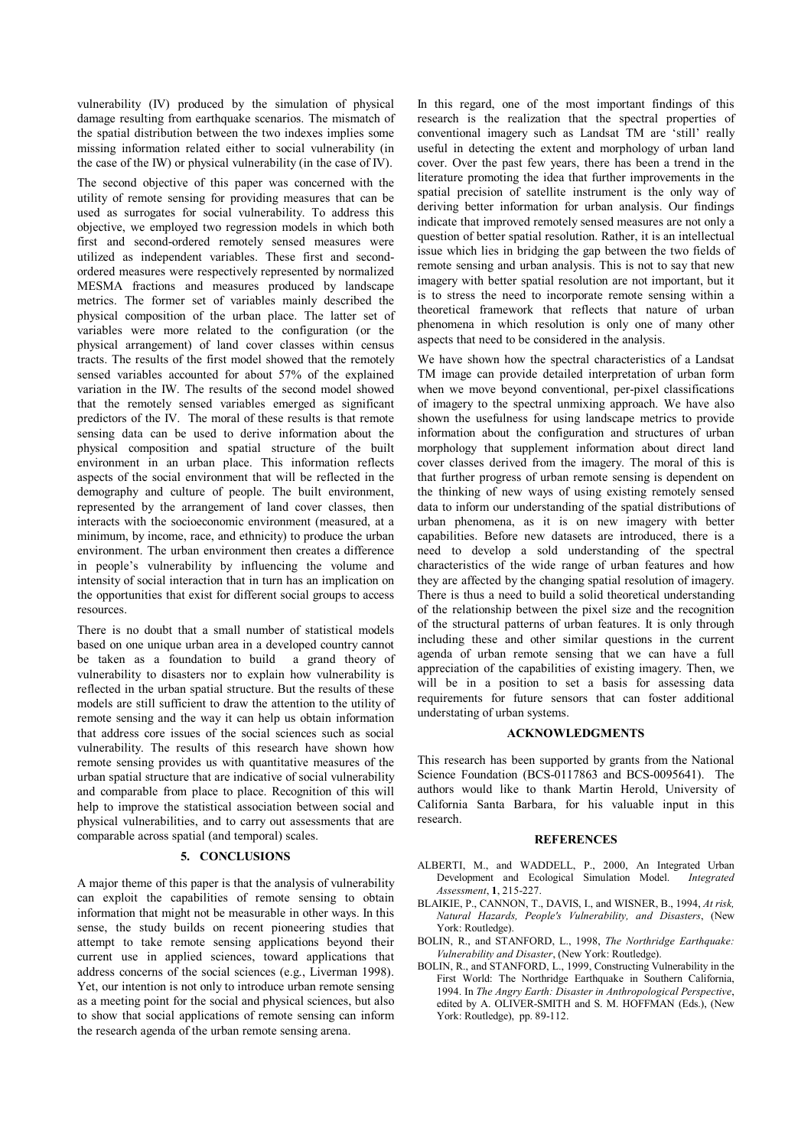vulnerability (IV) produced by the simulation of physical damage resulting from earthquake scenarios. The mismatch of the spatial distribution between the two indexes implies some missing information related either to social vulnerability (in the case of the IW) or physical vulnerability (in the case of IV).

The second objective of this paper was concerned with the utility of remote sensing for providing measures that can be used as surrogates for social vulnerability. To address this objective, we employed two regression models in which both first and second-ordered remotely sensed measures were utilized as independent variables. These first and secondordered measures were respectively represented by normalized MESMA fractions and measures produced by landscape metrics. The former set of variables mainly described the physical composition of the urban place. The latter set of variables were more related to the configuration (or the physical arrangement) of land cover classes within census tracts. The results of the first model showed that the remotely sensed variables accounted for about 57% of the explained variation in the IW. The results of the second model showed that the remotely sensed variables emerged as significant predictors of the IV. The moral of these results is that remote sensing data can be used to derive information about the physical composition and spatial structure of the built environment in an urban place. This information reflects aspects of the social environment that will be reflected in the demography and culture of people. The built environment, represented by the arrangement of land cover classes, then interacts with the socioeconomic environment (measured, at a minimum, by income, race, and ethnicity) to produce the urban environment. The urban environment then creates a difference in people's vulnerability by influencing the volume and intensity of social interaction that in turn has an implication on the opportunities that exist for different social groups to access resources.

There is no doubt that a small number of statistical models based on one unique urban area in a developed country cannot be taken as a foundation to build a grand theory of vulnerability to disasters nor to explain how vulnerability is reflected in the urban spatial structure. But the results of these models are still sufficient to draw the attention to the utility of remote sensing and the way it can help us obtain information that address core issues of the social sciences such as social vulnerability. The results of this research have shown how remote sensing provides us with quantitative measures of the urban spatial structure that are indicative of social vulnerability and comparable from place to place. Recognition of this will help to improve the statistical association between social and physical vulnerabilities, and to carry out assessments that are comparable across spatial (and temporal) scales.

## **5. CONCLUSIONS**

A major theme of this paper is that the analysis of vulnerability can exploit the capabilities of remote sensing to obtain information that might not be measurable in other ways. In this sense, the study builds on recent pioneering studies that attempt to take remote sensing applications beyond their current use in applied sciences, toward applications that address concerns of the social sciences (e.g., Liverman 1998). Yet, our intention is not only to introduce urban remote sensing as a meeting point for the social and physical sciences, but also to show that social applications of remote sensing can inform the research agenda of the urban remote sensing arena.

In this regard, one of the most important findings of this research is the realization that the spectral properties of conventional imagery such as Landsat TM are 'still' really useful in detecting the extent and morphology of urban land cover. Over the past few years, there has been a trend in the literature promoting the idea that further improvements in the spatial precision of satellite instrument is the only way of deriving better information for urban analysis. Our findings indicate that improved remotely sensed measures are not only a question of better spatial resolution. Rather, it is an intellectual issue which lies in bridging the gap between the two fields of remote sensing and urban analysis. This is not to say that new imagery with better spatial resolution are not important, but it is to stress the need to incorporate remote sensing within a theoretical framework that reflects that nature of urban phenomena in which resolution is only one of many other aspects that need to be considered in the analysis.

We have shown how the spectral characteristics of a Landsat TM image can provide detailed interpretation of urban form when we move beyond conventional, per-pixel classifications of imagery to the spectral unmixing approach. We have also shown the usefulness for using landscape metrics to provide information about the configuration and structures of urban morphology that supplement information about direct land cover classes derived from the imagery. The moral of this is that further progress of urban remote sensing is dependent on the thinking of new ways of using existing remotely sensed data to inform our understanding of the spatial distributions of urban phenomena, as it is on new imagery with better capabilities. Before new datasets are introduced, there is a need to develop a sold understanding of the spectral characteristics of the wide range of urban features and how they are affected by the changing spatial resolution of imagery. There is thus a need to build a solid theoretical understanding of the relationship between the pixel size and the recognition of the structural patterns of urban features. It is only through including these and other similar questions in the current agenda of urban remote sensing that we can have a full appreciation of the capabilities of existing imagery. Then, we will be in a position to set a basis for assessing data requirements for future sensors that can foster additional understating of urban systems.

## **ACKNOWLEDGMENTS**

This research has been supported by grants from the National Science Foundation (BCS-0117863 and BCS-0095641). The authors would like to thank Martin Herold, University of California Santa Barbara, for his valuable input in this research.

#### **REFERENCES**

- ALBERTI, M., and WADDELL, P., 2000, An Integrated Urban Development and Ecological Simulation Model. *Integrated Assessment*, **1**, 215-227.
- BLAIKIE, P., CANNON, T., DAVIS, I., and WISNER, B., 1994, *At risk, Natural Hazards, People's Vulnerability, and Disasters*, (New York: Routledge).
- BOLIN, R., and STANFORD, L., 1998, *The Northridge Earthquake: Vulnerability and Disaster*, (New York: Routledge).
- BOLIN, R., and STANFORD, L., 1999, Constructing Vulnerability in the First World: The Northridge Earthquake in Southern California, 1994. In *The Angry Earth: Disaster in Anthropological Perspective*, edited by A. OLIVER-SMITH and S. M. HOFFMAN (Eds.), (New York: Routledge), pp. 89-112.